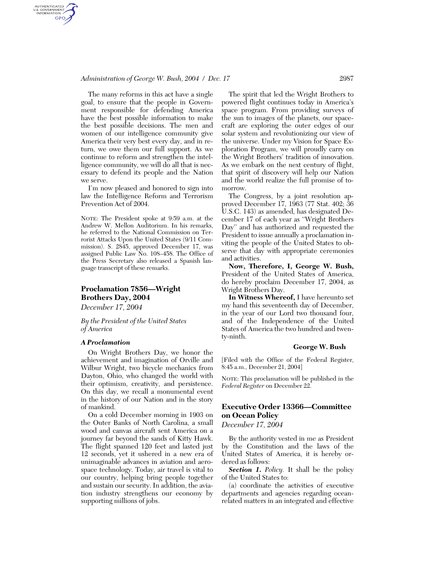## *Administration of George W. Bush, 2004 / Dec. 17* 2987

AUTHENTICATED<br>U.S. GOVERNMENT<br>INFORMATION GPO

> The many reforms in this act have a single goal, to ensure that the people in Government responsible for defending America have the best possible information to make the best possible decisions. The men and women of our intelligence community give America their very best every day, and in return, we owe them our full support. As we continue to reform and strengthen the intelligence community, we will do all that is necessary to defend its people and the Nation we serve.

> I'm now pleased and honored to sign into law the Intelligence Reform and Terrorism Prevention Act of 2004.

> NOTE: The President spoke at 9:59 a.m. at the Andrew W. Mellon Auditorium. In his remarks, he referred to the National Commission on Terrorist Attacks Upon the United States (9/11 Commission). S. 2845, approved December 17, was assigned Public Law No. 108–458. The Office of the Press Secretary also released a Spanish language transcript of these remarks.

## **Proclamation 7856—Wright Brothers Day, 2004**

*December 17, 2004* 

*By the President of the United States of America* 

### *A Proclamation*

On Wright Brothers Day, we honor the achievement and imagination of Orville and Wilbur Wright, two bicycle mechanics from Dayton, Ohio, who changed the world with their optimism, creativity, and persistence. On this day, we recall a monumental event in the history of our Nation and in the story of mankind.

On a cold December morning in 1903 on the Outer Banks of North Carolina, a small wood and canvas aircraft sent America on a journey far beyond the sands of Kitty Hawk. The flight spanned 120 feet and lasted just 12 seconds, yet it ushered in a new era of unimaginable advances in aviation and aerospace technology. Today, air travel is vital to our country, helping bring people together and sustain our security. In addition, the aviation industry strengthens our economy by supporting millions of jobs.

The spirit that led the Wright Brothers to powered flight continues today in America's space program. From providing surveys of the sun to images of the planets, our spacecraft are exploring the outer edges of our solar system and revolutionizing our view of the universe. Under my Vision for Space Exploration Program, we will proudly carry on the Wright Brothers' tradition of innovation. As we embark on the next century of flight, that spirit of discovery will help our Nation and the world realize the full promise of tomorrow.

The Congress, by a joint resolution approved December 17, 1963 (77 Stat. 402; 36 U.S.C. 143) as amended, has designated December 17 of each year as ''Wright Brothers Day'' and has authorized and requested the President to issue annually a proclamation inviting the people of the United States to observe that day with appropriate ceremonies and activities.

**Now, Therefore, I, George W. Bush,**  President of the United States of America, do hereby proclaim December 17, 2004, as Wright Brothers Day.

**In Witness Whereof,** I have hereunto set my hand this seventeenth day of December, in the year of our Lord two thousand four, and of the Independence of the United States of America the two hundred and twenty-ninth.

### **George W. Bush**

[Filed with the Office of the Federal Register, 8:45 a.m., December 21, 2004]

NOTE: This proclamation will be published in the *Federal Register* on December 22.

# **Executive Order 13366—Committee on Ocean Policy**

*December 17, 2004* 

By the authority vested in me as President by the Constitution and the laws of the United States of America, it is hereby ordered as follows:

*Section 1. Policy.* It shall be the policy of the United States to:

(a) coordinate the activities of executive departments and agencies regarding oceanrelated matters in an integrated and effective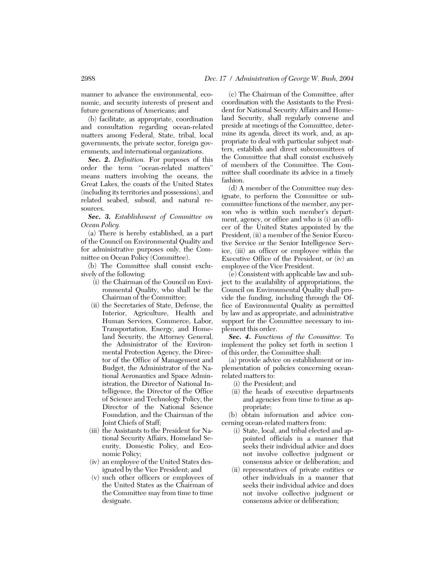manner to advance the environmental, economic, and security interests of present and future generations of Americans; and

(b) facilitate, as appropriate, coordination and consultation regarding ocean-related matters among Federal, State, tribal, local governments, the private sector, foreign governments, and international organizations.

*Sec. 2. Definition.* For purposes of this order the term ''ocean-related matters'' means matters involving the oceans, the Great Lakes, the coasts of the United States (including its territories and possessions), and related seabed, subsoil, and natural resources.

*Sec. 3. Establishment of Committee on Ocean Policy.* 

(a) There is hereby established, as a part of the Council on Environmental Quality and for administrative purposes only, the Committee on Ocean Policy (Committee).

(b) The Committee shall consist exclusively of the following:

- (i) the Chairman of the Council on Environmental Quality, who shall be the Chairman of the Committee;
- (ii) the Secretaries of State, Defense, the Interior, Agriculture, Health and Human Services, Commerce, Labor, Transportation, Energy, and Homeland Security, the Attorney General, the Administrator of the Environmental Protection Agency, the Director of the Office of Management and Budget, the Administrator of the National Aeronautics and Space Administration, the Director of National Intelligence, the Director of the Office of Science and Technology Policy, the Director of the National Science Foundation, and the Chairman of the Joint Chiefs of Staff;
- (iii) the Assistants to the President for National Security Affairs, Homeland Security, Domestic Policy, and Economic Policy;
- (iv) an employee of the United States designated by the Vice President; and
- (v) such other officers or employees of the United States as the Chairman of the Committee may from time to time designate.

(c) The Chairman of the Committee, after coordination with the Assistants to the President for National Security Affairs and Homeland Security, shall regularly convene and preside at meetings of the Committee, determine its agenda, direct its work, and, as appropriate to deal with particular subject matters, establish and direct subcommittees of the Committee that shall consist exclusively of members of the Committee. The Committee shall coordinate its advice in a timely fashion.

(d) A member of the Committee may designate, to perform the Committee or subcommittee functions of the member, any person who is within such member's department, agency, or office and who is (i) an officer of the United States appointed by the President, (ii) a member of the Senior Executive Service or the Senior Intelligence Service, (iii) an officer or employee within the Executive Office of the President, or (iv) an employee of the Vice President.

(e) Consistent with applicable law and subject to the availability of appropriations, the Council on Environmental Quality shall provide the funding, including through the Office of Environmental Quality as permitted by law and as appropriate, and administrative support for the Committee necessary to implement this order.

*Sec. 4. Functions of the Committee.* To implement the policy set forth in section 1 of this order, the Committee shall:

(a) provide advice on establishment or implementation of policies concerning oceanrelated matters to:

- (i) the President; and
- (ii) the heads of executive departments and agencies from time to time as appropriate;

(b) obtain information and advice concerning ocean-related matters from:

- (i) State, local, and tribal elected and appointed officials in a manner that seeks their individual advice and does not involve collective judgment or consensus advice or deliberation; and
- (ii) representatives of private entities or other individuals in a manner that seeks their individual advice and does not involve collective judgment or consensus advice or deliberation;